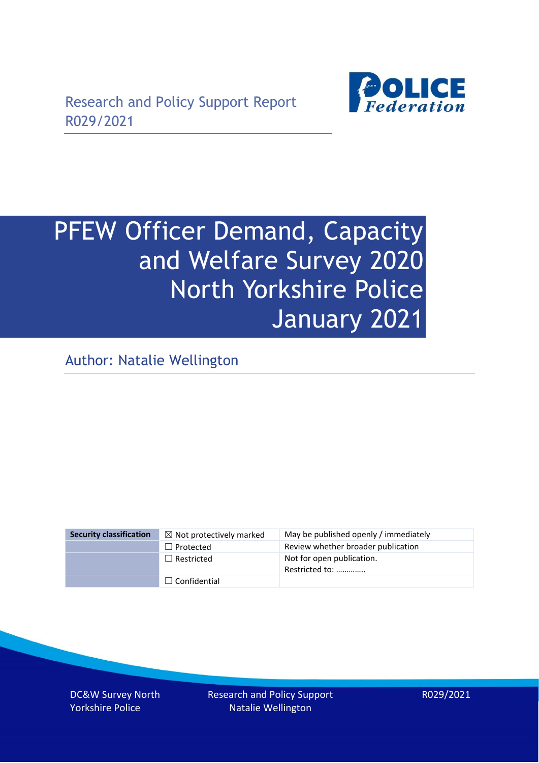

# PFEW Officer Demand, Capacity and Welfare Survey 2020 North Yorkshire Police January 2021

Author: Natalie Wellington

| <b>Security classification</b> | $\boxtimes$ Not protectively marked | May be published openly / immediately       |
|--------------------------------|-------------------------------------|---------------------------------------------|
|                                | $\Box$ Protected                    | Review whether broader publication          |
|                                | $\Box$ Restricted                   | Not for open publication.<br>Restricted to: |
|                                | $\Box$ Confidential                 |                                             |

DC&W Survey North Yorkshire Police

Research and Policy Support Natalie Wellington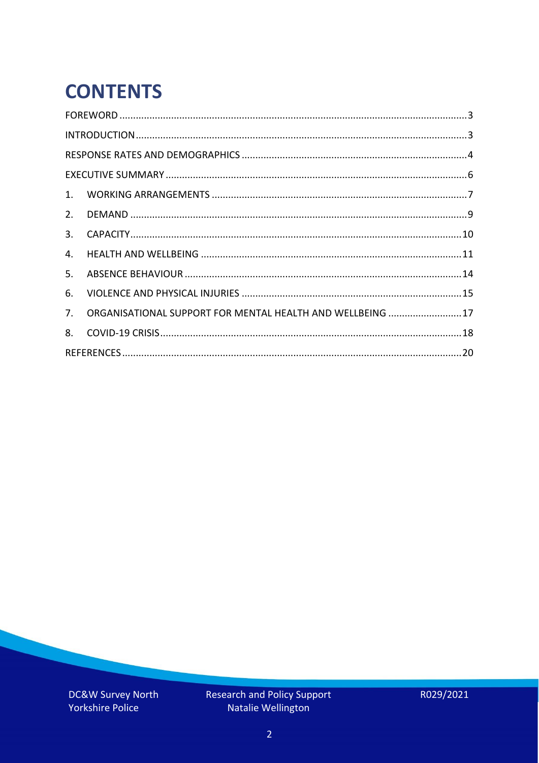# **CONTENTS**

| 2.          |                                                            |  |
|-------------|------------------------------------------------------------|--|
| 3.          |                                                            |  |
| 4.          |                                                            |  |
| 5.          |                                                            |  |
| 6.          |                                                            |  |
| $7_{\cdot}$ | ORGANISATIONAL SUPPORT FOR MENTAL HEALTH AND WELLBEING  17 |  |
| 8.          |                                                            |  |
|             |                                                            |  |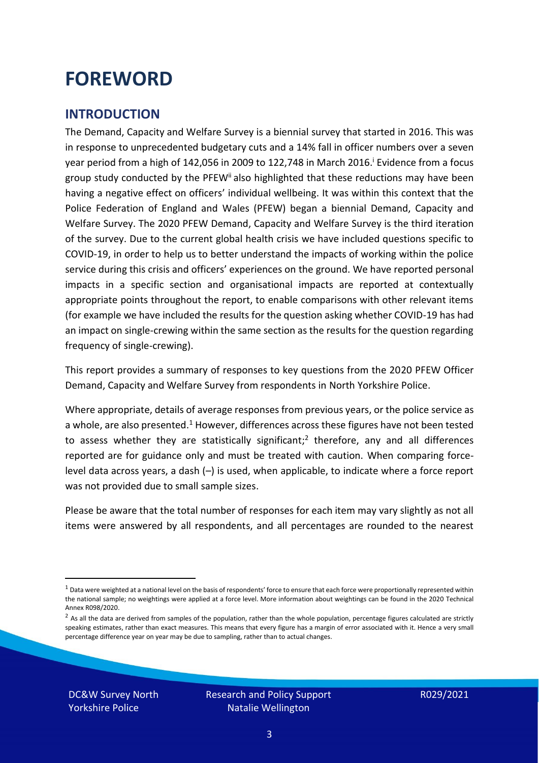### <span id="page-2-0"></span>**FOREWORD**

#### <span id="page-2-1"></span>**INTRODUCTION**

The Demand, Capacity and Welfare Survey is a biennial survey that started in 2016. This was in response to unprecedented budgetary cuts and a 14% fall in officer numbers over a seven year period from a high of 142,056 in 2009 to 122,748 in March 2016. <sup>i</sup> Evidence from a focus group study conducted by the PFEW<sup>ii</sup> also highlighted that these reductions may have been having a negative effect on officers' individual wellbeing. It was within this context that the Police Federation of England and Wales (PFEW) began a biennial Demand, Capacity and Welfare Survey. The 2020 PFEW Demand, Capacity and Welfare Survey is the third iteration of the survey. Due to the current global health crisis we have included questions specific to COVID-19, in order to help us to better understand the impacts of working within the police service during this crisis and officers' experiences on the ground. We have reported personal impacts in a specific section and organisational impacts are reported at contextually appropriate points throughout the report, to enable comparisons with other relevant items (for example we have included the results for the question asking whether COVID-19 has had an impact on single-crewing within the same section as the results for the question regarding frequency of single-crewing).

This report provides a summary of responses to key questions from the 2020 PFEW Officer Demand, Capacity and Welfare Survey from respondents in North Yorkshire Police.

Where appropriate, details of average responses from previous years, or the police service as a whole, are also presented.<sup>1</sup> However, differences across these figures have not been tested to assess whether they are statistically significant;<sup>2</sup> therefore, any and all differences reported are for guidance only and must be treated with caution. When comparing forcelevel data across years, a dash (–) is used, when applicable, to indicate where a force report was not provided due to small sample sizes.

Please be aware that the total number of responses for each item may vary slightly as not all items were answered by all respondents, and all percentages are rounded to the nearest

DC&W Survey North Yorkshire Police

 $1$  Data were weighted at a national level on the basis of respondents' force to ensure that each force were proportionally represented within the national sample; no weightings were applied at a force level. More information about weightings can be found in the 2020 Technical Annex R098/2020.

 $2$  As all the data are derived from samples of the population, rather than the whole population, percentage figures calculated are strictly speaking estimates, rather than exact measures. This means that every figure has a margin of error associated with it. Hence a very small percentage difference year on year may be due to sampling, rather than to actual changes.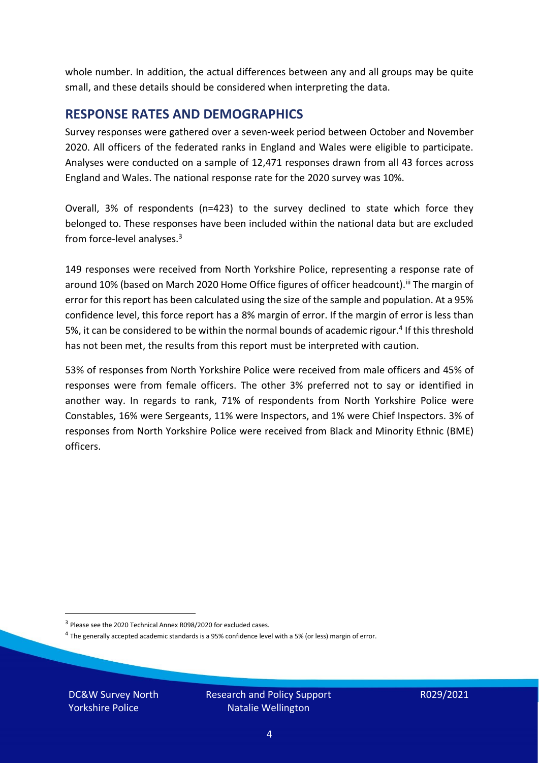whole number. In addition, the actual differences between any and all groups may be quite small, and these details should be considered when interpreting the data.

#### <span id="page-3-0"></span>**RESPONSE RATES AND DEMOGRAPHICS**

Survey responses were gathered over a seven-week period between October and November 2020. All officers of the federated ranks in England and Wales were eligible to participate. Analyses were conducted on a sample of 12,471 responses drawn from all 43 forces across England and Wales. The national response rate for the 2020 survey was 10%.

Overall, 3% of respondents (n=423) to the survey declined to state which force they belonged to. These responses have been included within the national data but are excluded from force-level analyses.<sup>3</sup>

149 responses were received from North Yorkshire Police, representing a response rate of around 10% (based on March 2020 Home Office figures of officer headcount).<sup>iii</sup> The margin of error for this report has been calculated using the size of the sample and population. At a 95% confidence level, this force report has a 8% margin of error. If the margin of error is less than 5%, it can be considered to be within the normal bounds of academic rigour.<sup>4</sup> If this threshold has not been met, the results from this report must be interpreted with caution.

53% of responses from North Yorkshire Police were received from male officers and 45% of responses were from female officers. The other 3% preferred not to say or identified in another way. In regards to rank, 71% of respondents from North Yorkshire Police were Constables, 16% were Sergeants, 11% were Inspectors, and 1% were Chief Inspectors. 3% of responses from North Yorkshire Police were received from Black and Minority Ethnic (BME) officers.

DC&W Survey North Yorkshire Police

<sup>&</sup>lt;sup>3</sup> Please see the 2020 Technical Annex R098/2020 for excluded cases.

<sup>&</sup>lt;sup>4</sup> The generally accepted academic standards is a 95% confidence level with a 5% (or less) margin of error.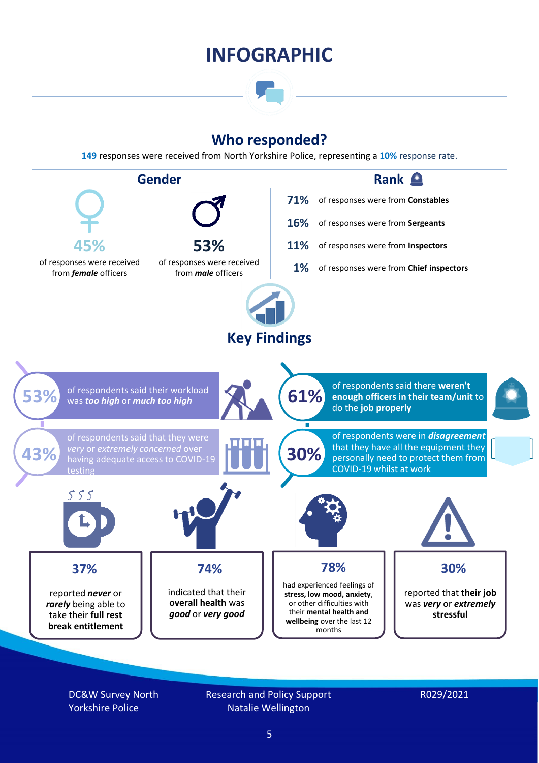### **INFOGRAPHIC**

### **Who responded?**

**149** responses were received from North Yorkshire Police, representing a **10%** response rate.



DC&W Survey North Yorkshire Police

Research and Policy Support Natalie Wellington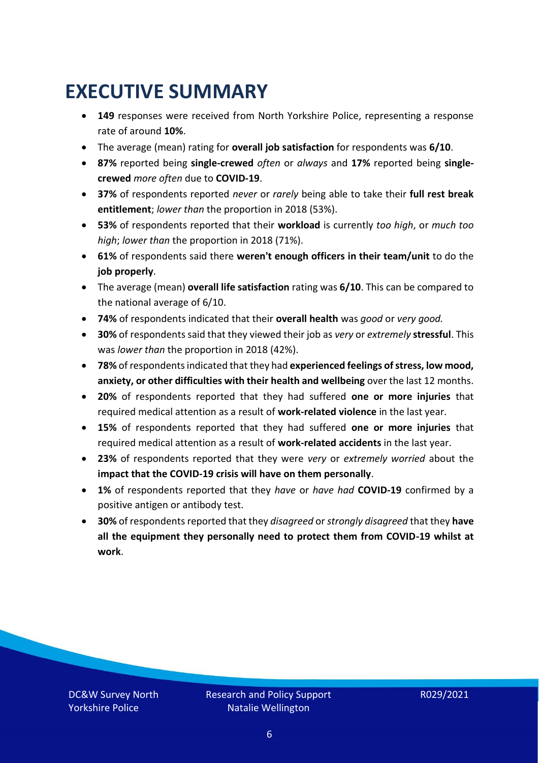### <span id="page-5-0"></span>**EXECUTIVE SUMMARY**

- **149** responses were received from North Yorkshire Police, representing a response rate of around **10%**.
- The average (mean) rating for **overall job satisfaction** for respondents was **6/10**.
- **87%** reported being **single-crewed** *often* or *always* and **17%** reported being **singlecrewed** *more often* due to **COVID-19**.
- **37%** of respondents reported *never* or *rarely* being able to take their **full rest break entitlement**; *lower than* the proportion in 2018 (53%).
- **53%** of respondents reported that their **workload** is currently *too high*, or *much too high*; *lower than* the proportion in 2018 (71%).
- **61%** of respondents said there **weren't enough officers in their team/unit** to do the **job properly**.
- The average (mean) **overall life satisfaction** rating was **6/10**. This can be compared to the national average of 6/10.
- **74%** of respondents indicated that their **overall health** was *good* or *very good.*
- **30%** of respondents said that they viewed their job as *very* or *extremely* **stressful**. This was *lower than* the proportion in 2018 (42%).
- **78%** of respondents indicated that they had **experienced feelings of stress, low mood, anxiety, or other difficulties with their health and wellbeing** over the last 12 months.
- **20%** of respondents reported that they had suffered **one or more injuries** that required medical attention as a result of **work-related violence** in the last year.
- **15%** of respondents reported that they had suffered **one or more injuries** that required medical attention as a result of **work-related accidents** in the last year.
- **23%** of respondents reported that they were *very* or *extremely worried* about the **impact that the COVID-19 crisis will have on them personally**.
- **1%** of respondents reported that they *have* or *have had* **COVID-19** confirmed by a positive antigen or antibody test.
- **30%** of respondents reported that they *disagreed* or *strongly disagreed* that they **have all the equipment they personally need to protect them from COVID-19 whilst at work**.

DC&W Survey North Yorkshire Police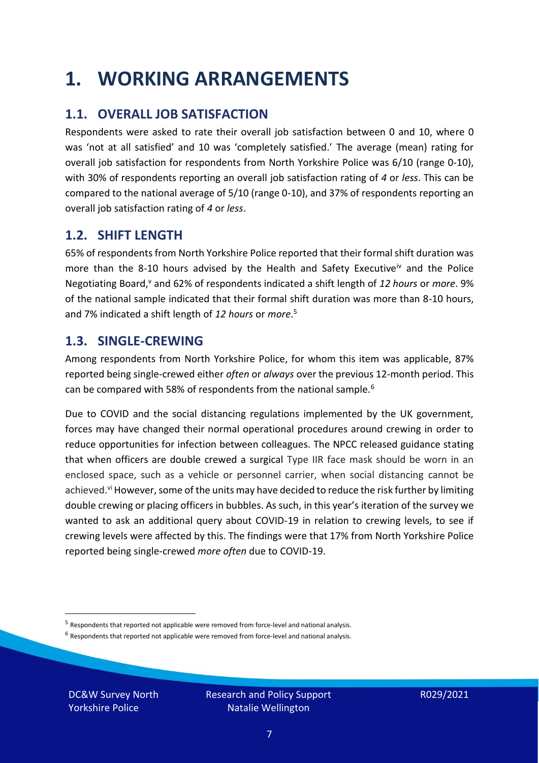### <span id="page-6-0"></span>**1. WORKING ARRANGEMENTS**

### **1.1. OVERALL JOB SATISFACTION**

Respondents were asked to rate their overall job satisfaction between 0 and 10, where 0 was 'not at all satisfied' and 10 was 'completely satisfied.' The average (mean) rating for overall job satisfaction for respondents from North Yorkshire Police was 6/10 (range 0-10), with 30% of respondents reporting an overall job satisfaction rating of *4* or *less*. This can be compared to the national average of 5/10 (range 0-10), and 37% of respondents reporting an overall job satisfaction rating of *4* or *less*.

### **1.2. SHIFT LENGTH**

65% of respondents from North Yorkshire Police reported that their formal shift duration was more than the 8-10 hours advised by the Health and Safety Executive<sup>iv</sup> and the Police Negotiating Board,<sup>v</sup> and 62% of respondents indicated a shift length of 12 hours or *more*. 9% of the national sample indicated that their formal shift duration was more than 8-10 hours, and 7% indicated a shift length of *12 hours* or *more*. 5

#### **1.3. SINGLE-CREWING**

Among respondents from North Yorkshire Police, for whom this item was applicable, 87% reported being single-crewed either *often* or *always* over the previous 12-month period. This can be compared with 58% of respondents from the national sample.<sup>6</sup>

Due to COVID and the social distancing regulations implemented by the UK government, forces may have changed their normal operational procedures around crewing in order to reduce opportunities for infection between colleagues. The NPCC released guidance stating that when officers are double crewed a surgical Type IIR face mask should be worn in an enclosed space, such as a vehicle or personnel carrier, when social distancing cannot be achieved.<sup>vi</sup> However, some of the units may have decided to reduce the risk further by limiting double crewing or placing officers in bubbles. As such, in this year's iteration of the survey we wanted to ask an additional query about COVID-19 in relation to crewing levels, to see if crewing levels were affected by this. The findings were that 17% from North Yorkshire Police reported being single-crewed *more often* due to COVID-19.

 $<sup>6</sup>$  Respondents that reported not applicable were removed from force-level and national analysis.</sup>

DC&W Survey North Yorkshire Police

<sup>&</sup>lt;sup>5</sup> Respondents that reported not applicable were removed from force-level and national analysis.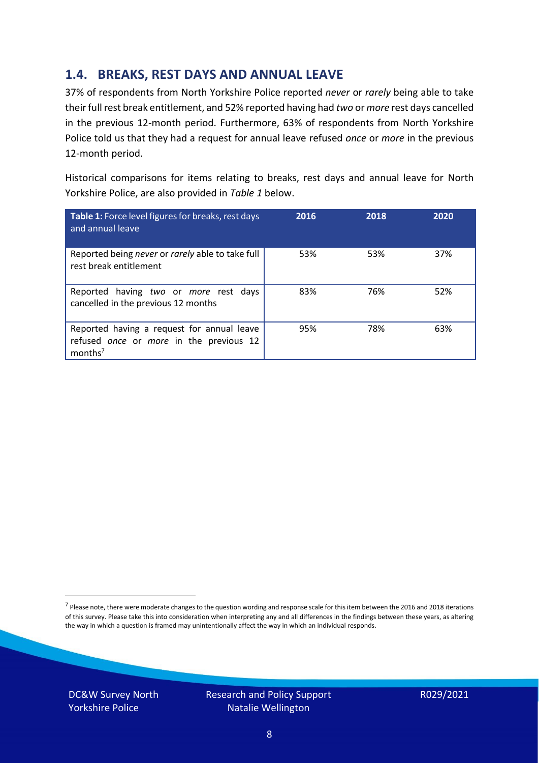### **1.4. BREAKS, REST DAYS AND ANNUAL LEAVE**

37% of respondents from North Yorkshire Police reported *never* or *rarely* being able to take their full rest break entitlement, and 52% reported having had *two* or *more* rest days cancelled in the previous 12-month period. Furthermore, 63% of respondents from North Yorkshire Police told us that they had a request for annual leave refused *once* or *more* in the previous 12-month period.

Historical comparisons for items relating to breaks, rest days and annual leave for North Yorkshire Police, are also provided in *Table 1* below.

| Table 1: Force level figures for breaks, rest days<br>and annual leave                                       | 2016 | 2018 | 2020 |
|--------------------------------------------------------------------------------------------------------------|------|------|------|
| Reported being never or rarely able to take full<br>rest break entitlement                                   | 53%  | 53%  | 37%  |
| Reported having two or more rest days<br>cancelled in the previous 12 months                                 | 83%  | 76%  | 52%  |
| Reported having a request for annual leave<br>refused once or more in the previous 12<br>months <sup>7</sup> | 95%  | 78%  | 63%  |

DC&W Survey North Yorkshire Police



<sup>&</sup>lt;sup>7</sup> Please note, there were moderate changes to the question wording and response scale for this item between the 2016 and 2018 iterations of this survey. Please take this into consideration when interpreting any and all differences in the findings between these years, as altering the way in which a question is framed may unintentionally affect the way in which an individual responds.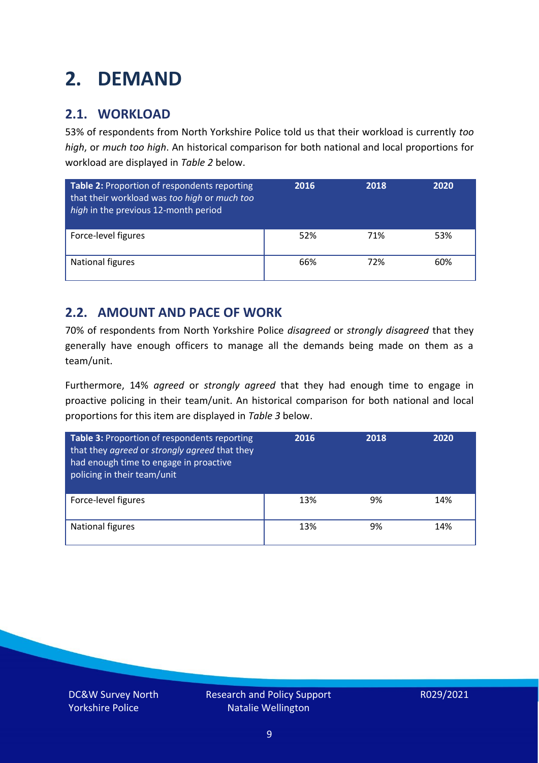### <span id="page-8-0"></span>**2. DEMAND**

### **2.1. WORKLOAD**

53% of respondents from North Yorkshire Police told us that their workload is currently *too high*, or *much too high*. An historical comparison for both national and local proportions for workload are displayed in *Table 2* below.

| Table 2: Proportion of respondents reporting<br>that their workload was too high or much too<br>high in the previous 12-month period | 2016 | 2018 | 2020 |
|--------------------------------------------------------------------------------------------------------------------------------------|------|------|------|
| Force-level figures                                                                                                                  | 52%  | 71%  | 53%  |
| <b>National figures</b>                                                                                                              | 66%  | 72%  | 60%  |

### **2.2. AMOUNT AND PACE OF WORK**

70% of respondents from North Yorkshire Police *disagreed* or *strongly disagreed* that they generally have enough officers to manage all the demands being made on them as a team/unit.

Furthermore, 14% *agreed* or *strongly agreed* that they had enough time to engage in proactive policing in their team/unit. An historical comparison for both national and local proportions for this item are displayed in *Table 3* below.

| Table 3: Proportion of respondents reporting<br>that they agreed or strongly agreed that they<br>had enough time to engage in proactive<br>policing in their team/unit | 2016 | 2018 | 2020 |
|------------------------------------------------------------------------------------------------------------------------------------------------------------------------|------|------|------|
| Force-level figures                                                                                                                                                    | 13%  | 9%   | 14%  |
| National figures                                                                                                                                                       | 13%  | 9%   | 14%  |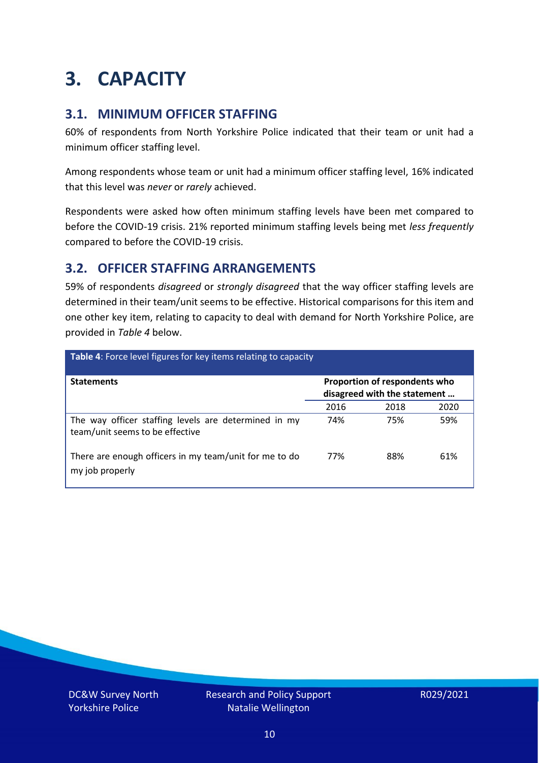### <span id="page-9-0"></span>**3. CAPACITY**

### **3.1. MINIMUM OFFICER STAFFING**

60% of respondents from North Yorkshire Police indicated that their team or unit had a minimum officer staffing level.

Among respondents whose team or unit had a minimum officer staffing level, 16% indicated that this level was *never* or *rarely* achieved.

Respondents were asked how often minimum staffing levels have been met compared to before the COVID-19 crisis. 21% reported minimum staffing levels being met *less frequently* compared to before the COVID-19 crisis.

### **3.2. OFFICER STAFFING ARRANGEMENTS**

59% of respondents *disagreed* or *strongly disagreed* that the way officer staffing levels are determined in their team/unit seems to be effective. Historical comparisons for this item and one other key item, relating to capacity to deal with demand for North Yorkshire Police, are provided in *Table 4* below.

| Table 4: Force level figures for key items relating to capacity                         |                                                               |      |      |
|-----------------------------------------------------------------------------------------|---------------------------------------------------------------|------|------|
| <b>Statements</b>                                                                       | Proportion of respondents who<br>disagreed with the statement |      |      |
|                                                                                         | 2016                                                          | 2018 | 2020 |
| The way officer staffing levels are determined in my<br>team/unit seems to be effective | 74%                                                           | 75%  | 59%  |
| There are enough officers in my team/unit for me to do<br>my job properly               | 77%                                                           | 88%  | 61%  |

DC&W Survey North Yorkshire Police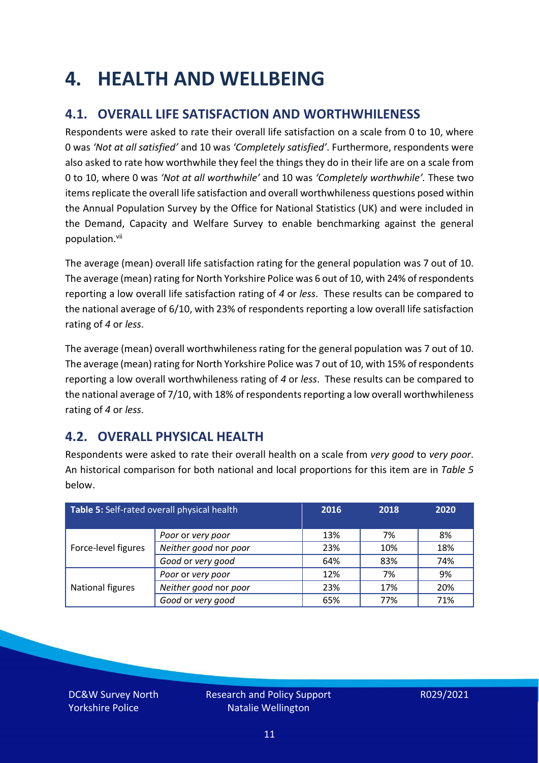### <span id="page-10-0"></span>**4. HEALTH AND WELLBEING**

### **4.1. OVERALL LIFE SATISFACTION AND WORTHWHILENESS**

Respondents were asked to rate their overall life satisfaction on a scale from 0 to 10, where 0 was *'Not at all satisfied'* and 10 was *'Completely satisfied'*. Furthermore, respondents were also asked to rate how worthwhile they feel the things they do in their life are on a scale from 0 to 10, where 0 was *'Not at all worthwhile'* and 10 was *'Completely worthwhile'.* These two items replicate the overall life satisfaction and overall worthwhileness questions posed within the Annual Population Survey by the Office for National Statistics (UK) and were included in the Demand, Capacity and Welfare Survey to enable benchmarking against the general population. vii

The average (mean) overall life satisfaction rating for the general population was 7 out of 10. The average (mean) rating for North Yorkshire Police was 6 out of 10, with 24% of respondents reporting a low overall life satisfaction rating of *4* or *less*. These results can be compared to the national average of 6/10, with 23% of respondents reporting a low overall life satisfaction rating of *4* or *less*.

The average (mean) overall worthwhileness rating for the general population was 7 out of 10. The average (mean) rating for North Yorkshire Police was 7 out of 10, with 15% of respondents reporting a low overall worthwhileness rating of *4* or *less*. These results can be compared to the national average of 7/10, with 18% of respondents reporting a low overall worthwhileness rating of *4* or *less*.

### **4.2. OVERALL PHYSICAL HEALTH**

Respondents were asked to rate their overall health on a scale from *very good* to *very poor*. An historical comparison for both national and local proportions for this item are in *Table 5* below.

| Table 5: Self-rated overall physical health |                       | 2016 | 2018 | 2020 |
|---------------------------------------------|-----------------------|------|------|------|
|                                             | Poor or very poor     | 13%  | 7%   | 8%   |
| Force-level figures                         | Neither good nor poor | 23%  | 10%  | 18%  |
|                                             | Good or very good     | 64%  | 83%  | 74%  |
|                                             | Poor or very poor     | 12%  | 7%   | 9%   |
| National figures                            | Neither good nor poor | 23%  | 17%  | 20%  |
|                                             | Good or very good     | 65%  | 77%  | 71%  |

DC&W Survey North Yorkshire Police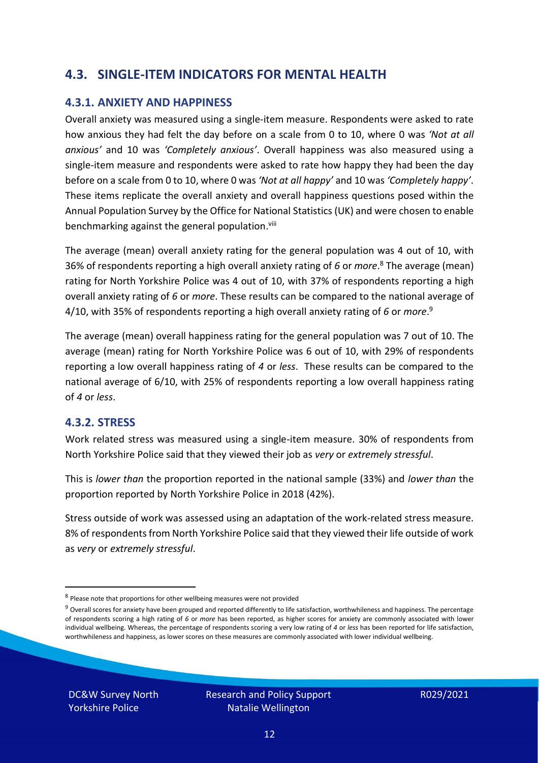### **4.3. SINGLE-ITEM INDICATORS FOR MENTAL HEALTH**

#### **4.3.1. ANXIETY AND HAPPINESS**

Overall anxiety was measured using a single-item measure. Respondents were asked to rate how anxious they had felt the day before on a scale from 0 to 10, where 0 was *'Not at all anxious'* and 10 was *'Completely anxious'*. Overall happiness was also measured using a single-item measure and respondents were asked to rate how happy they had been the day before on a scale from 0 to 10, where 0 was *'Not at all happy'* and 10 was *'Completely happy'*. These items replicate the overall anxiety and overall happiness questions posed within the Annual Population Survey by the Office for National Statistics (UK) and were chosen to enable benchmarking against the general population.<sup>viii</sup>

The average (mean) overall anxiety rating for the general population was 4 out of 10, with 36% of respondents reporting a high overall anxiety rating of *6* or *more*. <sup>8</sup> The average (mean) rating for North Yorkshire Police was 4 out of 10, with 37% of respondents reporting a high overall anxiety rating of *6* or *more*. These results can be compared to the national average of 4/10, with 35% of respondents reporting a high overall anxiety rating of *6* or *more*. 9

The average (mean) overall happiness rating for the general population was 7 out of 10. The average (mean) rating for North Yorkshire Police was 6 out of 10, with 29% of respondents reporting a low overall happiness rating of *4* or *less*. These results can be compared to the national average of 6/10, with 25% of respondents reporting a low overall happiness rating of *4* or *less*.

#### **4.3.2. STRESS**

Work related stress was measured using a single-item measure. 30% of respondents from North Yorkshire Police said that they viewed their job as *very* or *extremely stressful*.

This is *lower than* the proportion reported in the national sample (33%) and *lower than* the proportion reported by North Yorkshire Police in 2018 (42%).

Stress outside of work was assessed using an adaptation of the work-related stress measure. 8% of respondents from North Yorkshire Police said that they viewed their life outside of work as *very* or *extremely stressful*.

DC&W Survey North Yorkshire Police

<sup>&</sup>lt;sup>8</sup> Please note that proportions for other wellbeing measures were not provided

 $9$  Overall scores for anxiety have been grouped and reported differently to life satisfaction, worthwhileness and happiness. The percentage of respondents scoring a high rating of *6* or *more* has been reported, as higher scores for anxiety are commonly associated with lower individual wellbeing. Whereas, the percentage of respondents scoring a very low rating of *4* or *less* has been reported for life satisfaction, worthwhileness and happiness, as lower scores on these measures are commonly associated with lower individual wellbeing.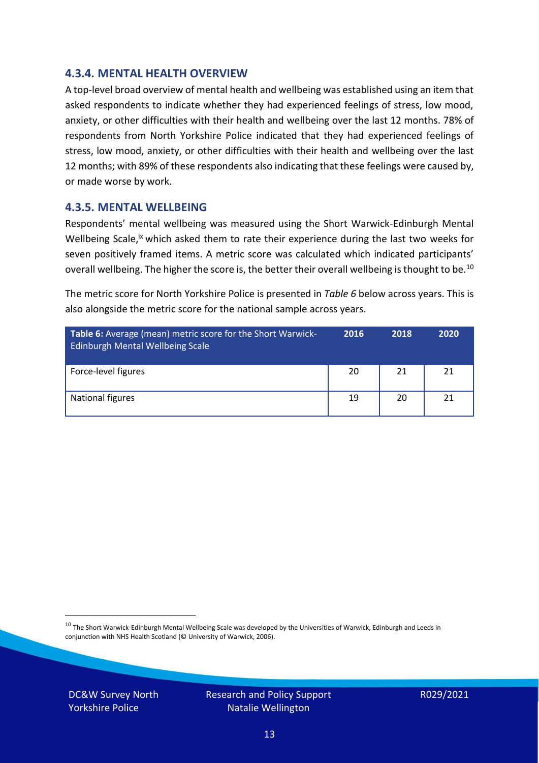#### **4.3.4. MENTAL HEALTH OVERVIEW**

A top-level broad overview of mental health and wellbeing was established using an item that asked respondents to indicate whether they had experienced feelings of stress, low mood, anxiety, or other difficulties with their health and wellbeing over the last 12 months. 78% of respondents from North Yorkshire Police indicated that they had experienced feelings of stress, low mood, anxiety, or other difficulties with their health and wellbeing over the last 12 months; with 89% of these respondents also indicating that these feelings were caused by, or made worse by work.

#### **4.3.5. MENTAL WELLBEING**

Respondents' mental wellbeing was measured using the Short Warwick-Edinburgh Mental Wellbeing Scale,<sup>ix</sup> which asked them to rate their experience during the last two weeks for seven positively framed items. A metric score was calculated which indicated participants' overall wellbeing. The higher the score is, the better their overall wellbeing is thought to be.<sup>10</sup>

The metric score for North Yorkshire Police is presented in *Table 6* below across years. This is also alongside the metric score for the national sample across years.

| <b>Table 6:</b> Average (mean) metric score for the Short Warwick-<br>Edinburgh Mental Wellbeing Scale | 2016 | 2018 | 2020 |
|--------------------------------------------------------------------------------------------------------|------|------|------|
| Force-level figures                                                                                    | 20   | 21   | 21   |
| National figures                                                                                       | 19   | 20   | 21   |

 $10$  The Short Warwick-Edinburgh Mental Wellbeing Scale was developed by the Universities of Warwick, Edinburgh and Leeds in conjunction with NHS Health Scotland (© University of Warwick, 2006).

DC&W Survey North Yorkshire Police

Research and Policy Support Natalie Wellington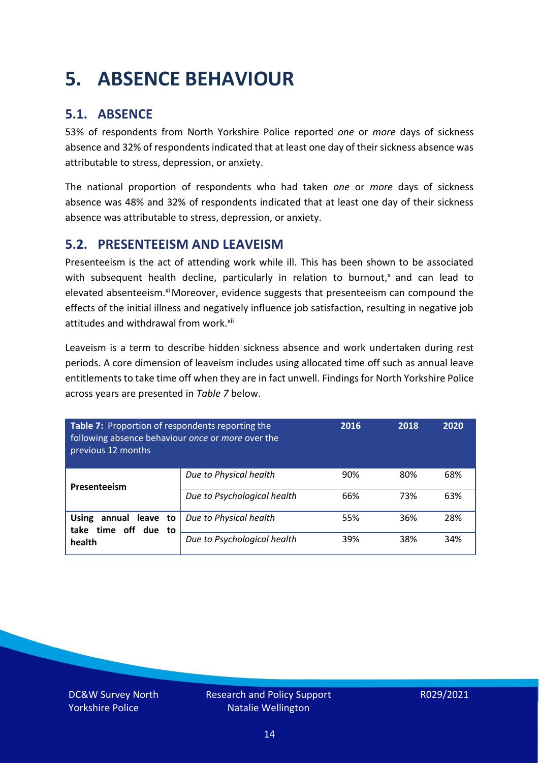### <span id="page-13-0"></span>**5. ABSENCE BEHAVIOUR**

### **5.1. ABSENCE**

53% of respondents from North Yorkshire Police reported *one* or *more* days of sickness absence and 32% of respondents indicated that at least one day of their sickness absence was attributable to stress, depression, or anxiety.

The national proportion of respondents who had taken *one* or *more* days of sickness absence was 48% and 32% of respondents indicated that at least one day of their sickness absence was attributable to stress, depression, or anxiety.

#### **5.2. PRESENTEEISM AND LEAVEISM**

Presenteeism is the act of attending work while ill. This has been shown to be associated with subsequent health decline, particularly in relation to burnout, $x$  and can lead to elevated absenteeism.<sup>xi</sup> Moreover, evidence suggests that presenteeism can compound the effects of the initial illness and negatively influence job satisfaction, resulting in negative job attitudes and withdrawal from work.<sup>xii</sup>

Leaveism is a term to describe hidden sickness absence and work undertaken during rest periods. A core dimension of leaveism includes using allocated time off such as annual leave entitlements to take time off when they are in fact unwell. Findings for North Yorkshire Police across years are presented in *Table 7* below.

| Table 7: Proportion of respondents reporting the<br>following absence behaviour once or more over the<br>previous 12 months |                             | 2016 | 2018 | 2020 |
|-----------------------------------------------------------------------------------------------------------------------------|-----------------------------|------|------|------|
| Presenteeism                                                                                                                | Due to Physical health      | 90%  | 80%  | 68%  |
|                                                                                                                             | Due to Psychological health | 66%  | 73%  | 63%  |
| <b>Using</b><br>annual leave to<br>time off due to<br>take<br>health                                                        | Due to Physical health      | 55%  | 36%  | 28%  |
|                                                                                                                             | Due to Psychological health | 39%  | 38%  | 34%  |

DC&W Survey North Yorkshire Police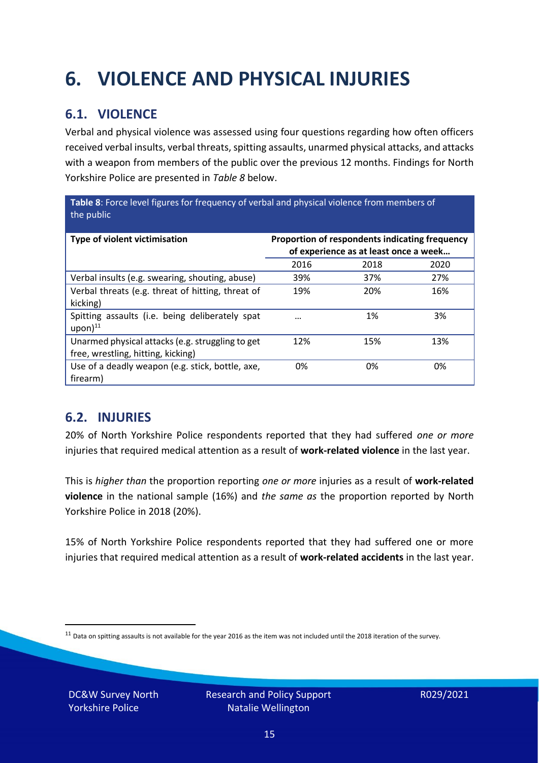## <span id="page-14-0"></span>**6. VIOLENCE AND PHYSICAL INJURIES**

### **6.1. VIOLENCE**

Verbal and physical violence was assessed using four questions regarding how often officers received verbal insults, verbal threats, spitting assaults, unarmed physical attacks, and attacks with a weapon from members of the public over the previous 12 months. Findings for North Yorkshire Police are presented in *Table 8* below.

**Table 8**: Force level figures for frequency of verbal and physical violence from members of the public

| Type of violent victimisation                                                          | Proportion of respondents indicating frequency<br>of experience as at least once a week |      |      |
|----------------------------------------------------------------------------------------|-----------------------------------------------------------------------------------------|------|------|
|                                                                                        | 2016                                                                                    | 2018 | 2020 |
| Verbal insults (e.g. swearing, shouting, abuse)                                        | 39%                                                                                     | 37%  | 27%  |
| Verbal threats (e.g. threat of hitting, threat of<br>kicking)                          | 19%                                                                                     | 20%  | 16%  |
| Spitting assaults (i.e. being deliberately spat<br>$upon)$ <sup>11</sup>               | $\cdots$                                                                                | 1%   | 3%   |
| Unarmed physical attacks (e.g. struggling to get<br>free, wrestling, hitting, kicking) | 12%                                                                                     | 15%  | 13%  |
| Use of a deadly weapon (e.g. stick, bottle, axe,<br>firearm)                           | 0%                                                                                      | 0%   | 0%   |

### **6.2. INJURIES**

20% of North Yorkshire Police respondents reported that they had suffered *one or more* injuries that required medical attention as a result of **work-related violence** in the last year.

This is *higher than* the proportion reporting *one or more* injuries as a result of **work-related violence** in the national sample (16%) and *the same as* the proportion reported by North Yorkshire Police in 2018 (20%).

15% of North Yorkshire Police respondents reported that they had suffered one or more injuries that required medical attention as a result of **work-related accidents** in the last year.

DC&W Survey North Yorkshire Police

 $11$  Data on spitting assaults is not available for the year 2016 as the item was not included until the 2018 iteration of the survey.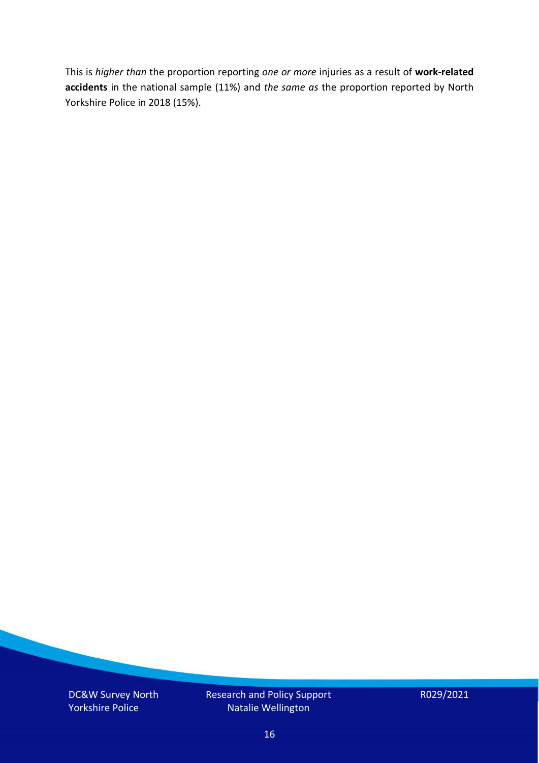This is *higher than* the proportion reporting *one or more* injuries as a result of **work-related accidents** in the national sample (11%) and *the same as* the proportion reported by North Yorkshire Police in 2018 (15%).

DC&W Survey North Yorkshire Police

Research and Policy Support Natalie Wellington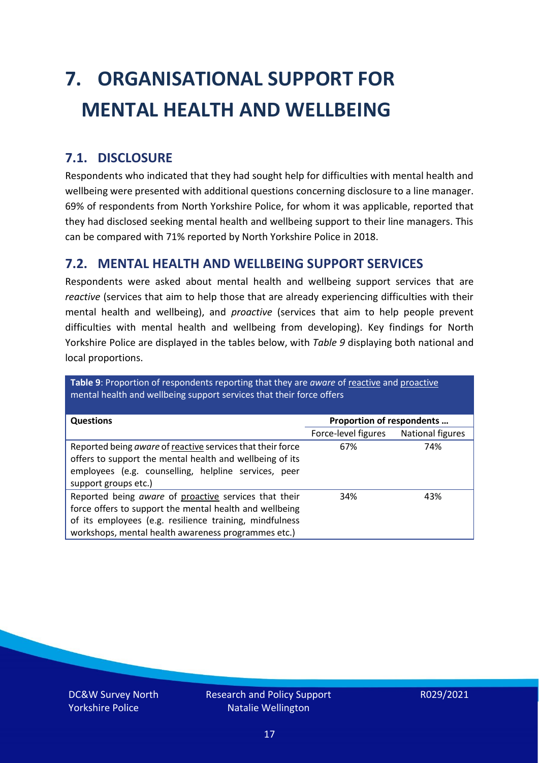# <span id="page-16-0"></span>**7. ORGANISATIONAL SUPPORT FOR MENTAL HEALTH AND WELLBEING**

### **7.1. DISCLOSURE**

Respondents who indicated that they had sought help for difficulties with mental health and wellbeing were presented with additional questions concerning disclosure to a line manager. 69% of respondents from North Yorkshire Police, for whom it was applicable, reported that they had disclosed seeking mental health and wellbeing support to their line managers. This can be compared with 71% reported by North Yorkshire Police in 2018.

#### **7.2. MENTAL HEALTH AND WELLBEING SUPPORT SERVICES**

Respondents were asked about mental health and wellbeing support services that are *reactive* (services that aim to help those that are already experiencing difficulties with their mental health and wellbeing), and *proactive* (services that aim to help people prevent difficulties with mental health and wellbeing from developing). Key findings for North Yorkshire Police are displayed in the tables below, with *Table 9* displaying both national and local proportions.

**Table 9**: Proportion of respondents reporting that they are *aware* of reactive and proactive mental health and wellbeing support services that their force offers

| <b>Questions</b>                                                                                                                                                                                                                   | Proportion of respondents |                  |
|------------------------------------------------------------------------------------------------------------------------------------------------------------------------------------------------------------------------------------|---------------------------|------------------|
|                                                                                                                                                                                                                                    | Force-level figures       | National figures |
| Reported being aware of reactive services that their force<br>offers to support the mental health and wellbeing of its<br>employees (e.g. counselling, helpline services, peer<br>support groups etc.)                             | 67%                       | 74%              |
| Reported being aware of proactive services that their<br>force offers to support the mental health and wellbeing<br>of its employees (e.g. resilience training, mindfulness<br>workshops, mental health awareness programmes etc.) | 34%                       | 43%              |

DC&W Survey North Yorkshire Police

Research and Policy Support Natalie Wellington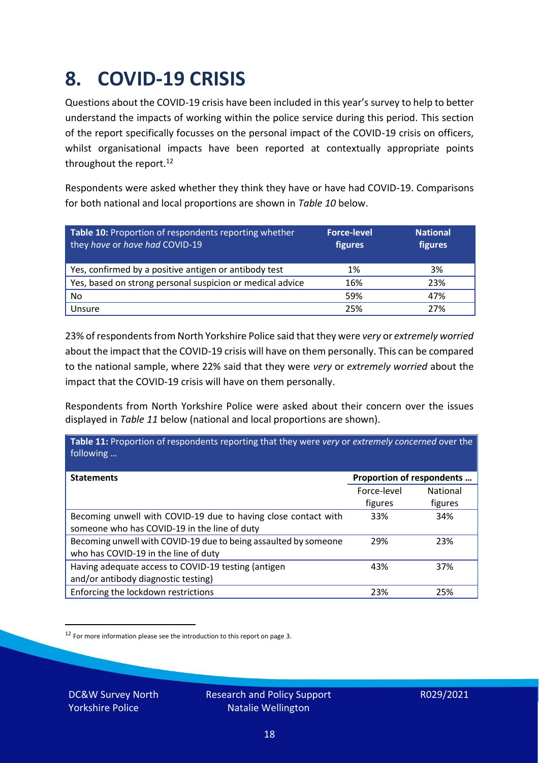### <span id="page-17-0"></span>**8. COVID-19 CRISIS**

Questions about the COVID-19 crisis have been included in this year's survey to help to better understand the impacts of working within the police service during this period. This section of the report specifically focusses on the personal impact of the COVID-19 crisis on officers, whilst organisational impacts have been reported at contextually appropriate points throughout the report.<sup>12</sup>

Respondents were asked whether they think they have or have had COVID-19. Comparisons for both national and local proportions are shown in *Table 10* below.

| Table 10: Proportion of respondents reporting whether<br>they have or have had COVID-19 | <b>Force-level</b><br>figures | <b>National</b><br>figures |
|-----------------------------------------------------------------------------------------|-------------------------------|----------------------------|
| Yes, confirmed by a positive antigen or antibody test                                   | 1%                            | 3%                         |
| Yes, based on strong personal suspicion or medical advice                               | 16%                           | 23%                        |
| No                                                                                      | 59%                           | 47%                        |
| Unsure                                                                                  | 25%                           | 27%                        |

23% of respondents from North Yorkshire Police said that they were *very* or *extremely worried* about the impact that the COVID-19 crisis will have on them personally. This can be compared to the national sample, where 22% said that they were *very* or *extremely worried* about the impact that the COVID-19 crisis will have on them personally.

Respondents from North Yorkshire Police were asked about their concern over the issues displayed in *Table 11* below (national and local proportions are shown).

| Table 11: Proportion of respondents reporting that they were very or extremely concerned over the<br>following |                           |                 |
|----------------------------------------------------------------------------------------------------------------|---------------------------|-----------------|
| <b>Statements</b>                                                                                              | Proportion of respondents |                 |
|                                                                                                                | Force-level               | <b>National</b> |
|                                                                                                                | figures                   | figures         |
| Becoming unwell with COVID-19 due to having close contact with                                                 | 33%                       | 34%             |
| someone who has COVID-19 in the line of duty                                                                   |                           |                 |
| Becoming unwell with COVID-19 due to being assaulted by someone                                                | 29%                       | 23%             |
| who has COVID-19 in the line of duty                                                                           |                           |                 |
| Having adequate access to COVID-19 testing (antigen                                                            | 43%                       | 37%             |
| and/or antibody diagnostic testing)                                                                            |                           |                 |
| Enforcing the lockdown restrictions                                                                            | 23%                       | 25%             |

<sup>12</sup> For more information please see the introduction to this report on page 3.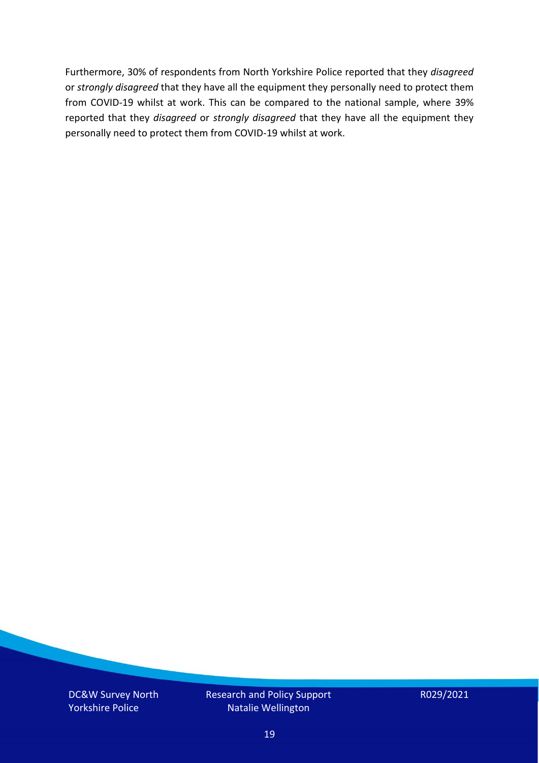Furthermore, 30% of respondents from North Yorkshire Police reported that they *disagreed*  or *strongly disagreed* that they have all the equipment they personally need to protect them from COVID-19 whilst at work. This can be compared to the national sample, where 39% reported that they *disagreed* or *strongly disagreed* that they have all the equipment they personally need to protect them from COVID-19 whilst at work.

DC&W Survey North Yorkshire Police

Research and Policy Support Natalie Wellington